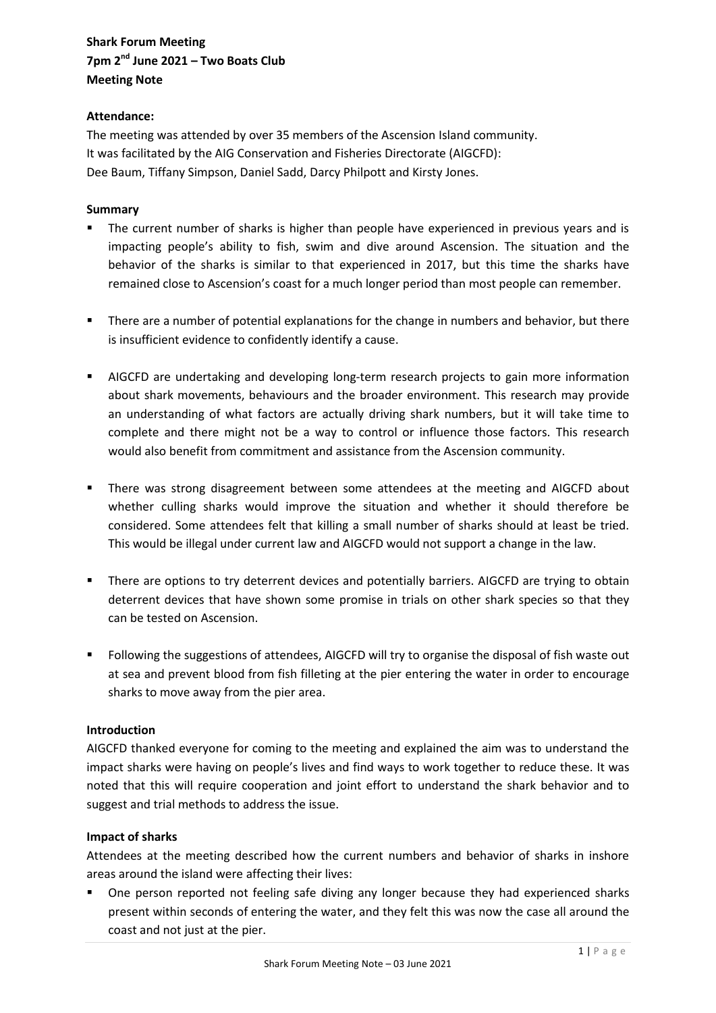# **Shark Forum Meeting 7pm 2nd June 2021 – Two Boats Club Meeting Note**

# **Attendance:**

The meeting was attended by over 35 members of the Ascension Island community. It was facilitated by the AIG Conservation and Fisheries Directorate (AIGCFD): Dee Baum, Tiffany Simpson, Daniel Sadd, Darcy Philpott and Kirsty Jones.

# **Summary**

- The current number of sharks is higher than people have experienced in previous years and is impacting people's ability to fish, swim and dive around Ascension. The situation and the behavior of the sharks is similar to that experienced in 2017, but this time the sharks have remained close to Ascension's coast for a much longer period than most people can remember.
- **There are a number of potential explanations for the change in numbers and behavior, but there** is insufficient evidence to confidently identify a cause.
- AIGCFD are undertaking and developing long-term research projects to gain more information about shark movements, behaviours and the broader environment. This research may provide an understanding of what factors are actually driving shark numbers, but it will take time to complete and there might not be a way to control or influence those factors. This research would also benefit from commitment and assistance from the Ascension community.
- There was strong disagreement between some attendees at the meeting and AIGCFD about whether culling sharks would improve the situation and whether it should therefore be considered. Some attendees felt that killing a small number of sharks should at least be tried. This would be illegal under current law and AIGCFD would not support a change in the law.
- **There are options to try deterrent devices and potentially barriers. AIGCFD are trying to obtain** deterrent devices that have shown some promise in trials on other shark species so that they can be tested on Ascension.
- Following the suggestions of attendees, AIGCFD will try to organise the disposal of fish waste out at sea and prevent blood from fish filleting at the pier entering the water in order to encourage sharks to move away from the pier area.

#### **Introduction**

AIGCFD thanked everyone for coming to the meeting and explained the aim was to understand the impact sharks were having on people's lives and find ways to work together to reduce these. It was noted that this will require cooperation and joint effort to understand the shark behavior and to suggest and trial methods to address the issue.

#### **Impact of sharks**

Attendees at the meeting described how the current numbers and behavior of sharks in inshore areas around the island were affecting their lives:

**•** One person reported not feeling safe diving any longer because they had experienced sharks present within seconds of entering the water, and they felt this was now the case all around the coast and not just at the pier.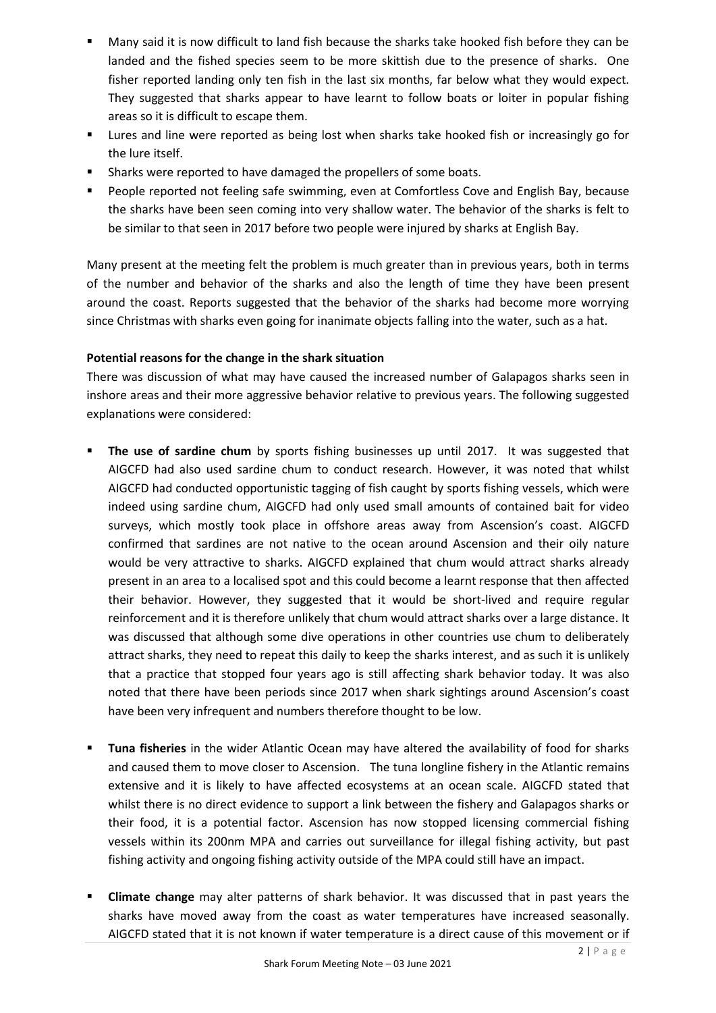- Many said it is now difficult to land fish because the sharks take hooked fish before they can be landed and the fished species seem to be more skittish due to the presence of sharks. One fisher reported landing only ten fish in the last six months, far below what they would expect. They suggested that sharks appear to have learnt to follow boats or loiter in popular fishing areas so it is difficult to escape them.
- **EXECT** Lures and line were reported as being lost when sharks take hooked fish or increasingly go for the lure itself.
- **Sharks were reported to have damaged the propellers of some boats.**
- **People reported not feeling safe swimming, even at Comfortless Cove and English Bay, because** the sharks have been seen coming into very shallow water. The behavior of the sharks is felt to be similar to that seen in 2017 before two people were injured by sharks at English Bay.

Many present at the meeting felt the problem is much greater than in previous years, both in terms of the number and behavior of the sharks and also the length of time they have been present around the coast. Reports suggested that the behavior of the sharks had become more worrying since Christmas with sharks even going for inanimate objects falling into the water, such as a hat.

# **Potential reasons for the change in the shark situation**

There was discussion of what may have caused the increased number of Galapagos sharks seen in inshore areas and their more aggressive behavior relative to previous years. The following suggested explanations were considered:

- **The use of sardine chum** by sports fishing businesses up until 2017. It was suggested that AIGCFD had also used sardine chum to conduct research. However, it was noted that whilst AIGCFD had conducted opportunistic tagging of fish caught by sports fishing vessels, which were indeed using sardine chum, AIGCFD had only used small amounts of contained bait for video surveys, which mostly took place in offshore areas away from Ascension's coast. AIGCFD confirmed that sardines are not native to the ocean around Ascension and their oily nature would be very attractive to sharks. AIGCFD explained that chum would attract sharks already present in an area to a localised spot and this could become a learnt response that then affected their behavior. However, they suggested that it would be short-lived and require regular reinforcement and it is therefore unlikely that chum would attract sharks over a large distance. It was discussed that although some dive operations in other countries use chum to deliberately attract sharks, they need to repeat this daily to keep the sharks interest, and as such it is unlikely that a practice that stopped four years ago is still affecting shark behavior today. It was also noted that there have been periods since 2017 when shark sightings around Ascension's coast have been very infrequent and numbers therefore thought to be low.
- **Tuna fisheries** in the wider Atlantic Ocean may have altered the availability of food for sharks and caused them to move closer to Ascension. The tuna longline fishery in the Atlantic remains extensive and it is likely to have affected ecosystems at an ocean scale. AIGCFD stated that whilst there is no direct evidence to support a link between the fishery and Galapagos sharks or their food, it is a potential factor. Ascension has now stopped licensing commercial fishing vessels within its 200nm MPA and carries out surveillance for illegal fishing activity, but past fishing activity and ongoing fishing activity outside of the MPA could still have an impact.
- **Climate change** may alter patterns of shark behavior. It was discussed that in past years the sharks have moved away from the coast as water temperatures have increased seasonally. AIGCFD stated that it is not known if water temperature is a direct cause of this movement or if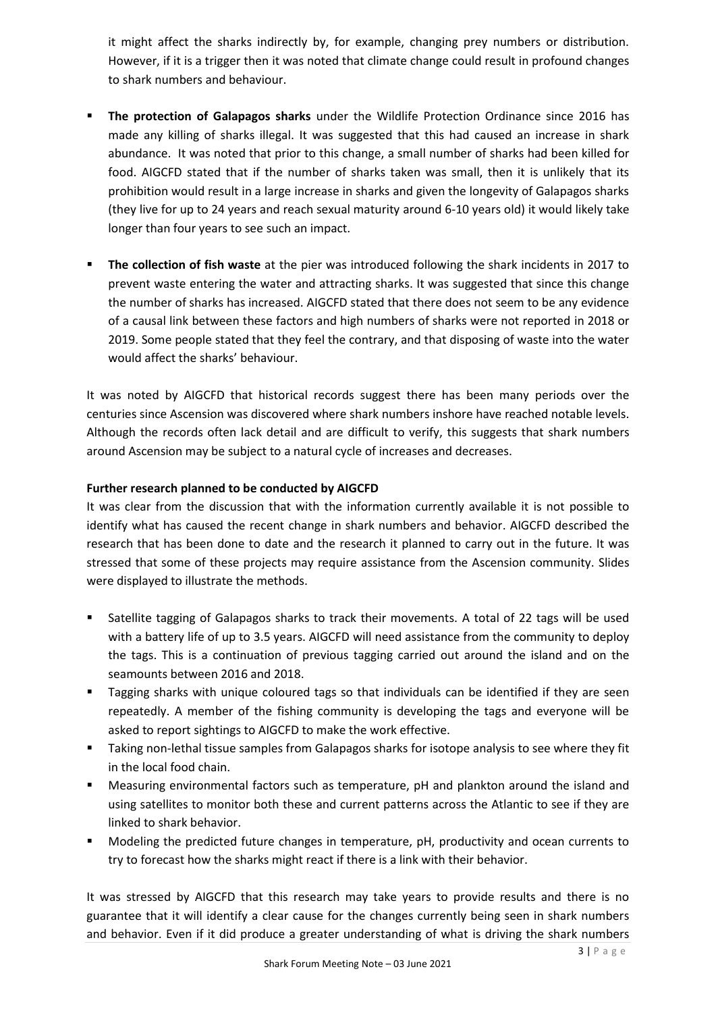it might affect the sharks indirectly by, for example, changing prey numbers or distribution. However, if it is a trigger then it was noted that climate change could result in profound changes to shark numbers and behaviour.

- **The protection of Galapagos sharks** under the Wildlife Protection Ordinance since 2016 has made any killing of sharks illegal. It was suggested that this had caused an increase in shark abundance. It was noted that prior to this change, a small number of sharks had been killed for food. AIGCFD stated that if the number of sharks taken was small, then it is unlikely that its prohibition would result in a large increase in sharks and given the longevity of Galapagos sharks (they live for up to 24 years and reach sexual maturity around 6-10 years old) it would likely take longer than four years to see such an impact.
- **The collection of fish waste** at the pier was introduced following the shark incidents in 2017 to prevent waste entering the water and attracting sharks. It was suggested that since this change the number of sharks has increased. AIGCFD stated that there does not seem to be any evidence of a causal link between these factors and high numbers of sharks were not reported in 2018 or 2019. Some people stated that they feel the contrary, and that disposing of waste into the water would affect the sharks' behaviour.

It was noted by AIGCFD that historical records suggest there has been many periods over the centuries since Ascension was discovered where shark numbers inshore have reached notable levels. Although the records often lack detail and are difficult to verify, this suggests that shark numbers around Ascension may be subject to a natural cycle of increases and decreases.

# **Further research planned to be conducted by AIGCFD**

It was clear from the discussion that with the information currently available it is not possible to identify what has caused the recent change in shark numbers and behavior. AIGCFD described the research that has been done to date and the research it planned to carry out in the future. It was stressed that some of these projects may require assistance from the Ascension community. Slides were displayed to illustrate the methods.

- Satellite tagging of Galapagos sharks to track their movements. A total of 22 tags will be used with a battery life of up to 3.5 years. AIGCFD will need assistance from the community to deploy the tags. This is a continuation of previous tagging carried out around the island and on the seamounts between 2016 and 2018.
- **Tagging sharks with unique coloured tags so that individuals can be identified if they are seen** repeatedly. A member of the fishing community is developing the tags and everyone will be asked to report sightings to AIGCFD to make the work effective.
- Taking non-lethal tissue samples from Galapagos sharks for isotope analysis to see where they fit in the local food chain.
- Measuring environmental factors such as temperature, pH and plankton around the island and using satellites to monitor both these and current patterns across the Atlantic to see if they are linked to shark behavior.
- Modeling the predicted future changes in temperature, pH, productivity and ocean currents to try to forecast how the sharks might react if there is a link with their behavior.

It was stressed by AIGCFD that this research may take years to provide results and there is no guarantee that it will identify a clear cause for the changes currently being seen in shark numbers and behavior. Even if it did produce a greater understanding of what is driving the shark numbers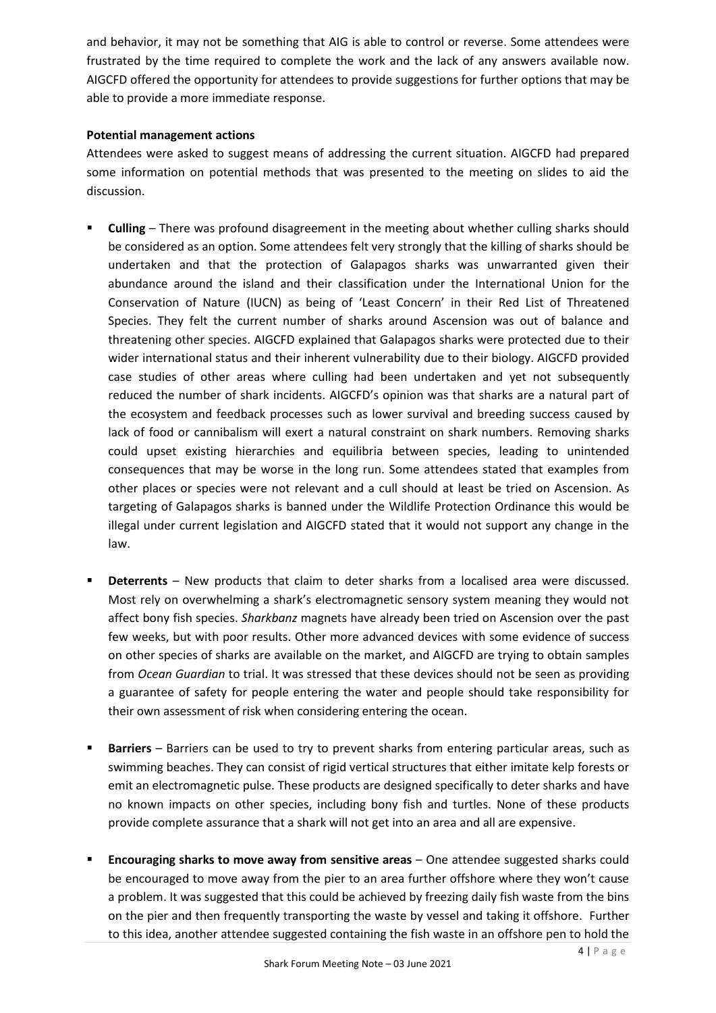and behavior, it may not be something that AIG is able to control or reverse. Some attendees were frustrated by the time required to complete the work and the lack of any answers available now. AIGCFD offered the opportunity for attendees to provide suggestions for further options that may be able to provide a more immediate response.

# **Potential management actions**

Attendees were asked to suggest means of addressing the current situation. AIGCFD had prepared some information on potential methods that was presented to the meeting on slides to aid the discussion.

- **Culling** There was profound disagreement in the meeting about whether culling sharks should be considered as an option. Some attendees felt very strongly that the killing of sharks should be undertaken and that the protection of Galapagos sharks was unwarranted given their abundance around the island and their classification under the International Union for the Conservation of Nature (IUCN) as being of 'Least Concern' in their Red List of Threatened Species. They felt the current number of sharks around Ascension was out of balance and threatening other species. AIGCFD explained that Galapagos sharks were protected due to their wider international status and their inherent vulnerability due to their biology. AIGCFD provided case studies of other areas where culling had been undertaken and yet not subsequently reduced the number of shark incidents. AIGCFD's opinion was that sharks are a natural part of the ecosystem and feedback processes such as lower survival and breeding success caused by lack of food or cannibalism will exert a natural constraint on shark numbers. Removing sharks could upset existing hierarchies and equilibria between species, leading to unintended consequences that may be worse in the long run. Some attendees stated that examples from other places or species were not relevant and a cull should at least be tried on Ascension. As targeting of Galapagos sharks is banned under the Wildlife Protection Ordinance this would be illegal under current legislation and AIGCFD stated that it would not support any change in the law.
- **Deterrents** New products that claim to deter sharks from a localised area were discussed. Most rely on overwhelming a shark's electromagnetic sensory system meaning they would not affect bony fish species. *Sharkbanz* magnets have already been tried on Ascension over the past few weeks, but with poor results. Other more advanced devices with some evidence of success on other species of sharks are available on the market, and AIGCFD are trying to obtain samples from *Ocean Guardian* to trial. It was stressed that these devices should not be seen as providing a guarantee of safety for people entering the water and people should take responsibility for their own assessment of risk when considering entering the ocean.
- **Barriers** Barriers can be used to try to prevent sharks from entering particular areas, such as swimming beaches. They can consist of rigid vertical structures that either imitate kelp forests or emit an electromagnetic pulse. These products are designed specifically to deter sharks and have no known impacts on other species, including bony fish and turtles. None of these products provide complete assurance that a shark will not get into an area and all are expensive.
- **Encouraging sharks to move away from sensitive areas** One attendee suggested sharks could be encouraged to move away from the pier to an area further offshore where they won't cause a problem. It was suggested that this could be achieved by freezing daily fish waste from the bins on the pier and then frequently transporting the waste by vessel and taking it offshore. Further to this idea, another attendee suggested containing the fish waste in an offshore pen to hold the